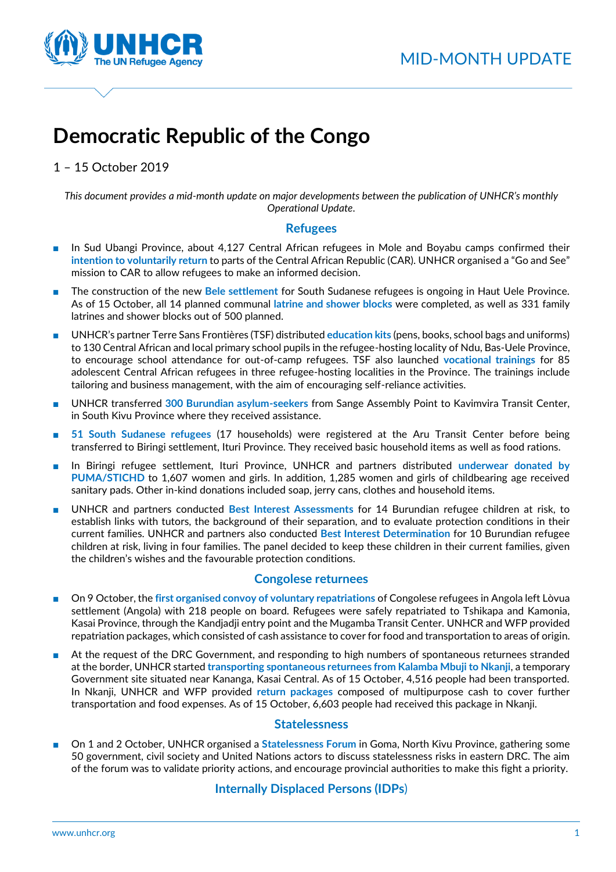

# **Democratic Republic of the Congo**

1 – 15 October 2019

*This document provides a mid-month update on major developments between the publication of UNHCR's monthly Operational Update.*

## **Refugees**

- In Sud Ubangi Province, about 4,127 Central African refugees in Mole and Boyabu camps confirmed their **intention to voluntarily return** to parts of the Central African Republic (CAR). UNHCR organised a "Go and See" mission to CAR to allow refugees to make an informed decision.
- The construction of the new **Bele settlement** for South Sudanese refugees is ongoing in Haut Uele Province. As of 15 October, all 14 planned communal **latrine and shower blocks** were completed, as well as 331 family latrines and shower blocks out of 500 planned.
- UNHCR's partner Terre Sans Frontières (TSF) distributed **education kits** (pens, books, school bags and uniforms) to 130 Central African and local primary school pupils in the refugee-hosting locality of Ndu, Bas-Uele Province, to encourage school attendance for out-of-camp refugees. TSF also launched **vocational trainings** for 85 adolescent Central African refugees in three refugee-hosting localities in the Province. The trainings include tailoring and business management, with the aim of encouraging self-reliance activities.
- UNHCR transferred **300 Burundian asylum-seekers** from Sange Assembly Point to Kavimvira Transit Center, in South Kivu Province where they received assistance.
- 51 South Sudanese refugees (17 households) were registered at the Aru Transit Center before being transferred to Biringi settlement, Ituri Province. They received basic household items as well as food rations.
- In Biringi refugee settlement, Ituri Province, UNHCR and partners distributed **underwear donated by PUMA/STICHD** to 1,607 women and girls. In addition, 1,285 women and girls of childbearing age received sanitary pads. Other in-kind donations included soap, jerry cans, clothes and household items.
- UNHCR and partners conducted **Best Interest Assessments** for 14 Burundian refugee children at risk, to establish links with tutors, the background of their separation, and to evaluate protection conditions in their current families. UNHCR and partners also conducted **Best Interest Determination** for 10 Burundian refugee children at risk, living in four families. The panel decided to keep these children in their current families, given the children's wishes and the favourable protection conditions.

# **Congolese returnees**

- On 9 October, the first organised convoy of voluntary repatriations of Congolese refugees in Angola left Lòvua settlement (Angola) with 218 people on board. Refugees were safely repatriated to Tshikapa and Kamonia, Kasai Province, through the Kandjadji entry point and the Mugamba Transit Center. UNHCR and WFP provided repatriation packages, which consisted of cash assistance to cover for food and transportation to areas of origin.
- At the request of the DRC Government, and responding to high numbers of spontaneous returnees stranded at the border, UNHCR started **transporting spontaneous returnees from Kalamba Mbuji to Nkanji**, a temporary Government site situated near Kananga, Kasai Central. As of 15 October, 4,516 people had been transported. In Nkanji, UNHCR and WFP provided **return packages** composed of multipurpose cash to cover further transportation and food expenses. As of 15 October, 6,603 people had received this package in Nkanji.

## **Statelessness**

On 1 and 2 October, UNHCR organised a **Statelessness Forum** in Goma, North Kivu Province, gathering some 50 government, civil society and United Nations actors to discuss statelessness risks in eastern DRC. The aim of the forum was to validate priority actions, and encourage provincial authorities to make this fight a priority.

# **Internally Displaced Persons (IDPs**)